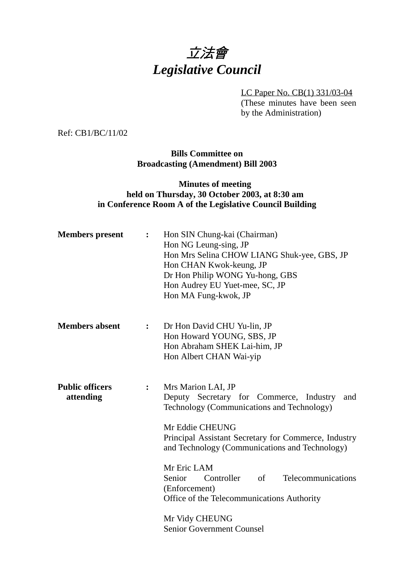# 立法會 *Legislative Council*

LC Paper No. CB(1) 331/03-04

(These minutes have been seen by the Administration)

Ref: CB1/BC/11/02

**Bills Committee on Broadcasting (Amendment) Bill 2003**

## **Minutes of meeting held on Thursday, 30 October 2003, at 8:30 am in Conference Room A of the Legislative Council Building**

| <b>Members</b> present              | : $\ddot{\phantom{a}}$ | Hon SIN Chung-kai (Chairman)<br>Hon NG Leung-sing, JP<br>Hon Mrs Selina CHOW LIANG Shuk-yee, GBS, JP<br>Hon CHAN Kwok-keung, JP<br>Dr Hon Philip WONG Yu-hong, GBS<br>Hon Audrey EU Yuet-mee, SC, JP<br>Hon MA Fung-kwok, JP                                                                                                                                                                                                         |  |
|-------------------------------------|------------------------|--------------------------------------------------------------------------------------------------------------------------------------------------------------------------------------------------------------------------------------------------------------------------------------------------------------------------------------------------------------------------------------------------------------------------------------|--|
| <b>Members absent</b>               | $\ddot{\bullet}$       | Dr Hon David CHU Yu-lin, JP<br>Hon Howard YOUNG, SBS, JP<br>Hon Abraham SHEK Lai-him, JP<br>Hon Albert CHAN Wai-yip                                                                                                                                                                                                                                                                                                                  |  |
| <b>Public officers</b><br>attending | $\ddot{\cdot}$         | Mrs Marion LAI, JP<br>Deputy Secretary for Commerce, Industry<br>and<br>Technology (Communications and Technology)<br>Mr Eddie CHEUNG<br>Principal Assistant Secretary for Commerce, Industry<br>and Technology (Communications and Technology)<br>Mr Eric LAM<br>Senior<br>Controller of<br>Telecommunications<br>(Enforcement)<br>Office of the Telecommunications Authority<br>Mr Vidy CHEUNG<br><b>Senior Government Counsel</b> |  |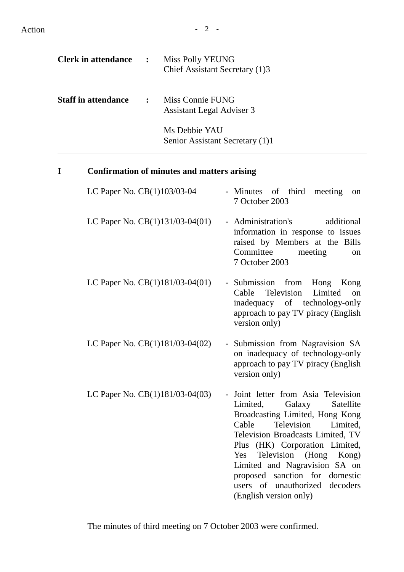Action - 2 -

| <b>Clerk in attendance</b> | $\mathbb{R}^2$ | <b>Miss Polly YEUNG</b><br>Chief Assistant Secretary (1)3 |
|----------------------------|----------------|-----------------------------------------------------------|
| <b>Staff in attendance</b> | $\mathbf{r}$   | Miss Connie FUNG<br>Assistant Legal Adviser 3             |
|                            |                | Ms Debbie YAU<br>Senior Assistant Secretary (1)1          |

## **I Confirmation of minutes and matters arising**

| LC Paper No. CB(1)103/03-04       | - Minutes of third<br>meeting<br>on<br>7 October 2003                                                                                                                                                                                                                                                                                                                                       |
|-----------------------------------|---------------------------------------------------------------------------------------------------------------------------------------------------------------------------------------------------------------------------------------------------------------------------------------------------------------------------------------------------------------------------------------------|
| LC Paper No. $CB(1)131/03-04(01)$ | - Administration's<br>additional<br>information in response to issues<br>raised by Members at the Bills<br>Committee<br>meeting<br>on<br>7 October 2003                                                                                                                                                                                                                                     |
| LC Paper No. $CB(1)181/03-04(01)$ | - Submission from<br>Hong Kong<br>Television<br>Cable<br>Limited<br>on<br>inadequacy of technology-only<br>approach to pay TV piracy (English<br>version only)                                                                                                                                                                                                                              |
| LC Paper No. $CB(1)181/03-04(02)$ | - Submission from Nagravision SA<br>on inadequacy of technology-only<br>approach to pay TV piracy (English<br>version only)                                                                                                                                                                                                                                                                 |
| LC Paper No. $CB(1)181/03-04(03)$ | Joint letter from Asia Television<br>Limited,<br>Galaxy<br>Satellite<br>Broadcasting Limited, Hong Kong<br>Television<br>Cable<br>Limited,<br>Television Broadcasts Limited, TV<br>Plus (HK) Corporation Limited,<br>Television (Hong Kong)<br><b>Yes</b><br>Limited and Nagravision SA on<br>proposed sanction for domestic<br>users of unauthorized<br>decoders<br>(English version only) |

The minutes of third meeting on 7 October 2003 were confirmed.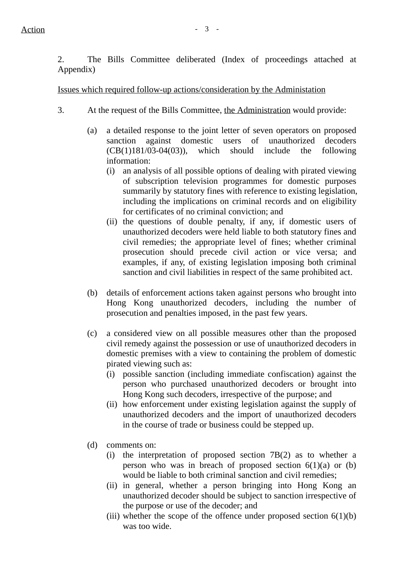2. The Bills Committee deliberated (Index of proceedings attached at Appendix)

Issues which required follow-up actions/consideration by the Administation

- 3. At the request of the Bills Committee, the Administration would provide:
	- (a) a detailed response to the joint letter of seven operators on proposed sanction against domestic users of unauthorized decoders  $(CB(1)181/03-04(03))$ , which should include the following information:
		- (i) an analysis of all possible options of dealing with pirated viewing of subscription television programmes for domestic purposes summarily by statutory fines with reference to existing legislation, including the implications on criminal records and on eligibility for certificates of no criminal conviction; and
		- (ii) the questions of double penalty, if any, if domestic users of unauthorized decoders were held liable to both statutory fines and civil remedies; the appropriate level of fines; whether criminal prosecution should precede civil action or vice versa; and examples, if any, of existing legislation imposing both criminal sanction and civil liabilities in respect of the same prohibited act.
	- (b) details of enforcement actions taken against persons who brought into Hong Kong unauthorized decoders, including the number of prosecution and penalties imposed, in the past few years.
	- (c) a considered view on all possible measures other than the proposed civil remedy against the possession or use of unauthorized decoders in domestic premises with a view to containing the problem of domestic pirated viewing such as:
		- (i) possible sanction (including immediate confiscation) against the person who purchased unauthorized decoders or brought into Hong Kong such decoders, irrespective of the purpose; and
		- (ii) how enforcement under existing legislation against the supply of unauthorized decoders and the import of unauthorized decoders in the course of trade or business could be stepped up.
	- (d) comments on:
		- (i) the interpretation of proposed section 7B(2) as to whether a person who was in breach of proposed section  $6(1)(a)$  or (b) would be liable to both criminal sanction and civil remedies;
		- (ii) in general, whether a person bringing into Hong Kong an unauthorized decoder should be subject to sanction irrespective of the purpose or use of the decoder; and
		- (iii) whether the scope of the offence under proposed section  $6(1)(b)$ was too wide.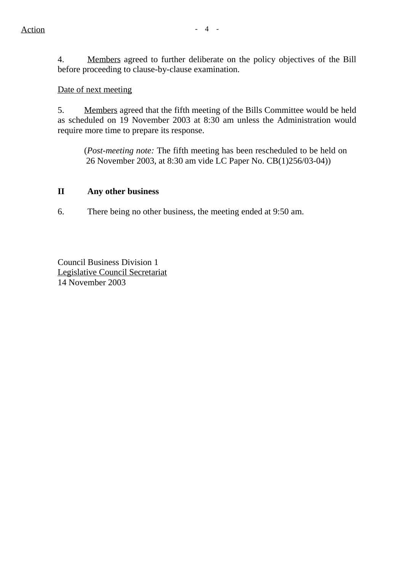4. Members agreed to further deliberate on the policy objectives of the Bill before proceeding to clause-by-clause examination.

Date of next meeting

5. Members agreed that the fifth meeting of the Bills Committee would be held as scheduled on 19 November 2003 at 8:30 am unless the Administration would require more time to prepare its response.

(*Post-meeting note:* The fifth meeting has been rescheduled to be held on 26 November 2003, at 8:30 am vide LC Paper No. CB(1)256/03-04))

## **II Any other business**

6. There being no other business, the meeting ended at 9:50 am.

Council Business Division 1 Legislative Council Secretariat 14 November 2003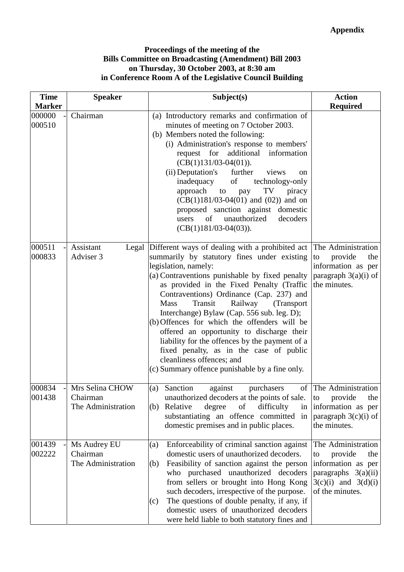#### **Proceedings of the meeting of the Bills Committee on Broadcasting (Amendment) Bill 2003 on Thursday, 30 October 2003, at 8:30 am in Conference Room A of the Legislative Council Building**

| <b>Time</b>      | <b>Speaker</b>                                    | Subject(s)                                                                                                                                                                                                                                                                                                                                                                                                                                                                                                                                                                                                                                                           | <b>Action</b>                                                                                                                         |
|------------------|---------------------------------------------------|----------------------------------------------------------------------------------------------------------------------------------------------------------------------------------------------------------------------------------------------------------------------------------------------------------------------------------------------------------------------------------------------------------------------------------------------------------------------------------------------------------------------------------------------------------------------------------------------------------------------------------------------------------------------|---------------------------------------------------------------------------------------------------------------------------------------|
| <b>Marker</b>    |                                                   |                                                                                                                                                                                                                                                                                                                                                                                                                                                                                                                                                                                                                                                                      | <b>Required</b>                                                                                                                       |
| 000000<br>000510 | Chairman                                          | (a) Introductory remarks and confirmation of<br>minutes of meeting on 7 October 2003.<br>(b) Members noted the following:<br>(i) Administration's response to members'<br>request for additional information<br>$(CB(1)131/03-04(01)).$<br>(ii) Deputation's<br>further<br>views<br>on<br>inadequacy<br>of<br>technology-only<br>approach to<br>TV<br>piracy<br>pay<br>$(CB(1)181/03-04(01)$ and $(02)$ ) and on<br>proposed sanction against domestic<br>unauthorized<br>of<br>decoders<br>users<br>$(CB(1)181/03-04(03)).$                                                                                                                                         |                                                                                                                                       |
| 000511<br>000833 | Assistant<br>Adviser 3                            | Legal Different ways of dealing with a prohibited act The Administration<br>summarily by statutory fines under existing<br>legislation, namely:<br>(a) Contraventions punishable by fixed penalty<br>as provided in the Fixed Penalty (Traffic<br>Contraventions) Ordinance (Cap. 237) and<br>Transit<br><b>Mass</b><br>Railway<br>(Transport<br>Interchange) Bylaw (Cap. 556 sub. leg. D);<br>(b) Offences for which the offenders will be<br>offered an opportunity to discharge their<br>liability for the offences by the payment of a<br>fixed penalty, as in the case of public<br>cleanliness offences; and<br>(c) Summary offence punishable by a fine only. | provide<br>the<br>to<br>information as per<br>paragraph $3(a)(i)$ of<br>the minutes.                                                  |
| 000834<br>001438 | Mrs Selina CHOW<br>Chairman<br>The Administration | Sanction<br>against<br>purchasers<br>of<br>(a)<br>unauthorized decoders at the points of sale.<br>Relative<br>of<br>difficulty<br>degree<br>(b)<br>in<br>substantiating an offence committed in<br>domestic premises and in public places.                                                                                                                                                                                                                                                                                                                                                                                                                           | The Administration<br>provide<br>the<br>to<br>information as per<br>paragraph $3(c)(i)$ of<br>the minutes.                            |
| 001439<br>002222 | Ms Audrey EU<br>Chairman<br>The Administration    | Enforceability of criminal sanction against<br>(a)<br>domestic users of unauthorized decoders.<br>Feasibility of sanction against the person<br>(b)<br>who purchased unauthorized decoders<br>from sellers or brought into Hong Kong<br>such decoders, irrespective of the purpose.<br>The questions of double penalty, if any, if<br>(c)<br>domestic users of unauthorized decoders<br>were held liable to both statutory fines and                                                                                                                                                                                                                                 | The Administration<br>provide<br>to<br>the<br>information as per<br>paragraphs 3(a)(ii)<br>$3(c)(i)$ and $3(d)(i)$<br>of the minutes. |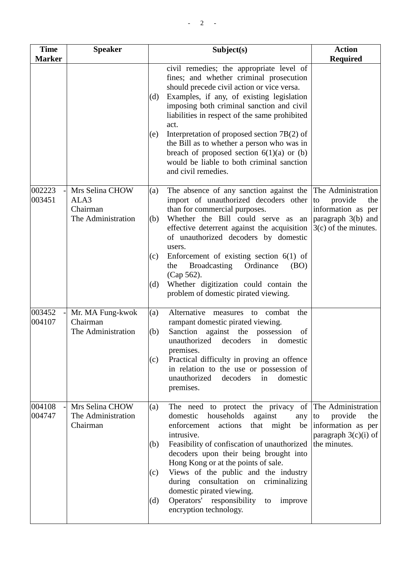| <b>Time</b><br><b>Marker</b> | <b>Speaker</b>                                            | Subject(s)                                                                                                                                                                                                                                                                                                                                                                                                                                                                                                           | <b>Action</b><br><b>Required</b>                                                                                 |
|------------------------------|-----------------------------------------------------------|----------------------------------------------------------------------------------------------------------------------------------------------------------------------------------------------------------------------------------------------------------------------------------------------------------------------------------------------------------------------------------------------------------------------------------------------------------------------------------------------------------------------|------------------------------------------------------------------------------------------------------------------|
|                              |                                                           | civil remedies; the appropriate level of<br>fines; and whether criminal prosecution<br>should precede civil action or vice versa.<br>Examples, if any, of existing legislation<br>(d)<br>imposing both criminal sanction and civil<br>liabilities in respect of the same prohibited<br>act.<br>Interpretation of proposed section $7B(2)$ of<br>(e)<br>the Bill as to whether a person who was in<br>breach of proposed section $6(1)(a)$ or (b)<br>would be liable to both criminal sanction<br>and civil remedies. |                                                                                                                  |
| 002223<br>003451             | Mrs Selina CHOW<br>ALA3<br>Chairman<br>The Administration | The absence of any sanction against the<br>(a)<br>import of unauthorized decoders other<br>than for commercial purposes.<br>Whether the Bill could serve as an<br>(b)<br>effective deterrent against the acquisition<br>of unauthorized decoders by domestic<br>users.<br>Enforcement of existing section $6(1)$ of<br>(c)<br><b>Broadcasting</b><br>Ordinance<br>the<br>(BO)<br>(Cap 562).<br>Whether digitization could contain the<br>(d)<br>problem of domestic pirated viewing.                                 | The Administration<br>provide<br>the<br>to<br>information as per<br>paragraph 3(b) and<br>$3(c)$ of the minutes. |
| 003452<br>004107             | Mr. MA Fung-kwok<br>Chairman<br>The Administration        | Alternative measures to combat<br>the<br>(a)<br>rampant domestic pirated viewing.<br>Sanction against the<br>possession<br>(b)<br>of<br>unauthorized<br>decoders<br>in<br>domestic<br>premises.<br>Practical difficulty in proving an offence<br>(c)<br>in relation to the use or possession of<br>decoders<br>domestic<br>unauthorized<br>in<br>premises.                                                                                                                                                           |                                                                                                                  |
| 004108<br>004747             | Mrs Selina CHOW<br>The Administration<br>Chairman         | The need to protect the privacy of The Administration<br>(a)<br>households<br>domestic<br>against<br>any<br>enforcement<br>that might<br>actions<br>be<br>intrusive.<br>Feasibility of confiscation of unauthorized<br>(b)<br>decoders upon their being brought into<br>Hong Kong or at the points of sale.<br>Views of the public and the industry<br>(c)<br>during consultation on<br>criminalizing<br>domestic pirated viewing.<br>Operators' responsibility<br>(d)<br>improve<br>to<br>encryption technology.    | provide<br>the<br>to<br>information as per<br>paragraph $3(c)(i)$ of<br>the minutes.                             |